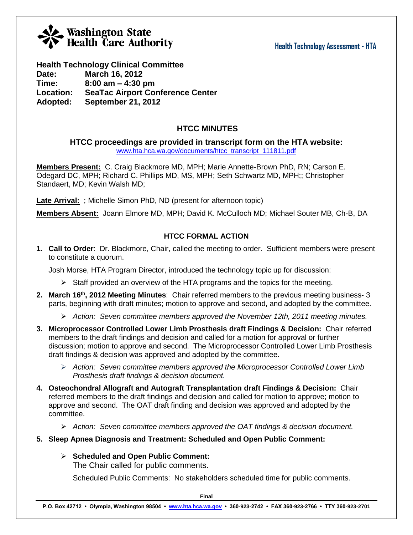#### **Health Technology Assessment - HTA**

# Washington State<br>Health Care Authority

### **Health Technology Clinical Committee**

**Date: March 16, 2012 Time: 8:00 am – 4:30 pm Location: SeaTac Airport Conference Center Adopted: September 21, 2012**

### **HTCC MINUTES**

**HTCC proceedings are provided in transcript form on the HTA website:**

[www.hta.hca.wa.gov/documents/htcc\\_transcript\\_111811.pdf](http://www.hta.hca.wa.gov/documents/htcc_transcript_111811.pdf)

**Members Present:** C. Craig Blackmore MD, MPH; Marie Annette-Brown PhD, RN; Carson E. Odegard DC, MPH; Richard C. Phillips MD, MS, MPH; Seth Schwartz MD, MPH;; Christopher Standaert, MD; Kevin Walsh MD;

**Late Arrival:** ; Michelle Simon PhD, ND (present for afternoon topic)

**Members Absent:** Joann Elmore MD, MPH; David K. McCulloch MD; Michael Souter MB, Ch-B, DA

#### **HTCC FORMAL ACTION**

**1. Call to Order**: Dr. Blackmore, Chair, called the meeting to order. Sufficient members were present to constitute a quorum.

Josh Morse, HTA Program Director, introduced the technology topic up for discussion:

- $\triangleright$  Staff provided an overview of the HTA programs and the topics for the meeting.
- **2. March 16th, 2012 Meeting Minutes**: Chair referred members to the previous meeting business- 3 parts, beginning with draft minutes; motion to approve and second, and adopted by the committee.
	- *Action: Seven committee members approved the November 12th, 2011 meeting minutes.*
- **3. Microprocessor Controlled Lower Limb Prosthesis draft Findings & Decision:** Chair referred members to the draft findings and decision and called for a motion for approval or further discussion; motion to approve and second. The Microprocessor Controlled Lower Limb Prosthesis draft findings & decision was approved and adopted by the committee.
	- *Action: Seven committee members approved the Microprocessor Controlled Lower Limb Prosthesis draft findings & decision document.*
- **4. Osteochondral Allograft and Autograft Transplantation draft Findings & Decision:** Chair referred members to the draft findings and decision and called for motion to approve; motion to approve and second. The OAT draft finding and decision was approved and adopted by the committee.
	- *Action: Seven committee members approved the OAT findings & decision document.*
- **5. Sleep Apnea Diagnosis and Treatment: Scheduled and Open Public Comment:**
	- **Scheduled and Open Public Comment:**

The Chair called for public comments.

Scheduled Public Comments: No stakeholders scheduled time for public comments.

**Final**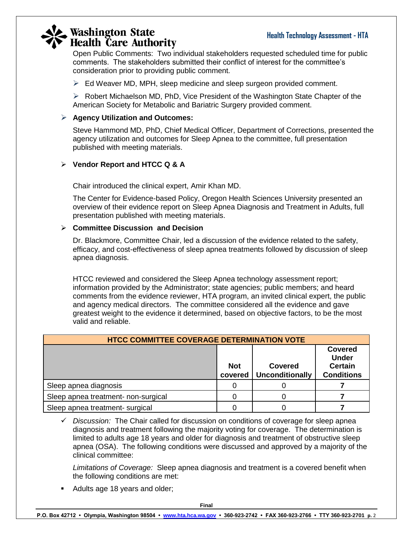# **Washington State**<br>Health Care Authority

Open Public Comments: Two individual stakeholders requested scheduled time for public comments. The stakeholders submitted their conflict of interest for the committee's consideration prior to providing public comment.

 $\triangleright$  Ed Weaver MD, MPH, sleep medicine and sleep surgeon provided comment.

 $\triangleright$  Robert Michaelson MD, PhD, Vice President of the Washington State Chapter of the American Society for Metabolic and Bariatric Surgery provided comment.

#### **Agency Utilization and Outcomes:**

Steve Hammond MD, PhD, Chief Medical Officer, Department of Corrections, presented the agency utilization and outcomes for Sleep Apnea to the committee, full presentation published with meeting materials.

#### **Vendor Report and HTCC Q & A**

Chair introduced the clinical expert, Amir Khan MD.

The Center for Evidence-based Policy, Oregon Health Sciences University presented an overview of their evidence report on Sleep Apnea Diagnosis and Treatment in Adults, full presentation published with meeting materials.

#### **Committee Discussion and Decision**

Dr. Blackmore, Committee Chair, led a discussion of the evidence related to the safety, efficacy, and cost-effectiveness of sleep apnea treatments followed by discussion of sleep apnea diagnosis.

HTCC reviewed and considered the Sleep Apnea technology assessment report; information provided by the Administrator; state agencies; public members; and heard comments from the evidence reviewer, HTA program, an invited clinical expert, the public and agency medical directors. The committee considered all the evidence and gave greatest weight to the evidence it determined, based on objective factors, to be the most valid and reliable.

| <b>HTCC COMMITTEE COVERAGE DETERMINATION VOTE</b> |                       |                                          |                                                                       |  |  |
|---------------------------------------------------|-----------------------|------------------------------------------|-----------------------------------------------------------------------|--|--|
|                                                   | <b>Not</b><br>covered | <b>Covered</b><br><b>Unconditionally</b> | <b>Covered</b><br><b>Under</b><br><b>Certain</b><br><b>Conditions</b> |  |  |
| Sleep apnea diagnosis                             |                       |                                          |                                                                       |  |  |
| Sleep apnea treatment- non-surgical               |                       |                                          |                                                                       |  |  |
| Sleep apnea treatment- surgical                   |                       |                                          |                                                                       |  |  |

 *Discussion:* The Chair called for discussion on conditions of coverage for sleep apnea diagnosis and treatment following the majority voting for coverage. The determination is limited to adults age 18 years and older for diagnosis and treatment of obstructive sleep apnea (OSA). The following conditions were discussed and approved by a majority of the clinical committee:

*Limitations of Coverage:* Sleep apnea diagnosis and treatment is a covered benefit when the following conditions are met:

• Adults age 18 years and older;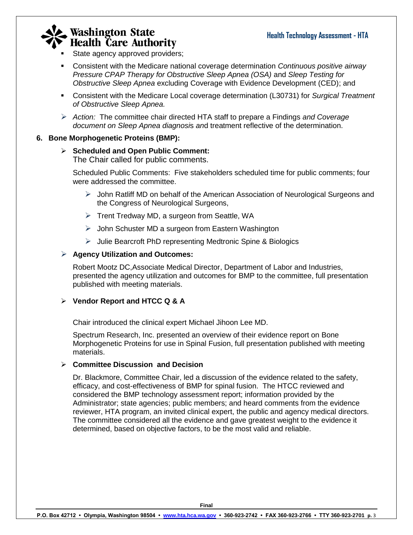# Washington State<br>Health Care Authority

- State agency approved providers;
- Consistent with the Medicare national coverage determination *Continuous positive airway Pressure CPAP Therapy for Obstructive Sleep Apnea (OSA)* and *Sleep Testing for Obstructive Sleep Apnea* excluding Coverage with Evidence Development (CED); and
- Consistent with the Medicare Local coverage determination (L30731) for *Surgical Treatment of Obstructive Sleep Apnea.*
- *Action:* The committee chair directed HTA staff to prepare a Findings *and Coverage document on Sleep Apnea diagnosi*s *an*d treatment reflective of the determination.

#### **6. Bone Morphogenetic Proteins (BMP):**

#### **Scheduled and Open Public Comment:**

The Chair called for public comments.

Scheduled Public Comments: Five stakeholders scheduled time for public comments; four were addressed the committee.

- $\triangleright$  John Ratliff MD on behalf of the American Association of Neurological Surgeons and the Congress of Neurological Surgeons,
- $\triangleright$  Trent Tredway MD, a surgeon from Seattle, WA
- $\triangleright$  John Schuster MD a surgeon from Eastern Washington
- $\triangleright$  Julie Bearcroft PhD representing Medtronic Spine & Biologics

#### **Agency Utilization and Outcomes:**

Robert Mootz DC,Associate Medical Director, Department of Labor and Industries, presented the agency utilization and outcomes for BMP to the committee, full presentation published with meeting materials.

#### **Vendor Report and HTCC Q & A**

Chair introduced the clinical expert Michael Jihoon Lee MD.

Spectrum Research, Inc. presented an overview of their evidence report on Bone Morphogenetic Proteins for use in Spinal Fusion, full presentation published with meeting materials.

#### **Committee Discussion and Decision**

Dr. Blackmore, Committee Chair, led a discussion of the evidence related to the safety, efficacy, and cost-effectiveness of BMP for spinal fusion. The HTCC reviewed and considered the BMP technology assessment report; information provided by the Administrator; state agencies; public members; and heard comments from the evidence reviewer, HTA program, an invited clinical expert, the public and agency medical directors. The committee considered all the evidence and gave greatest weight to the evidence it determined, based on objective factors, to be the most valid and reliable.